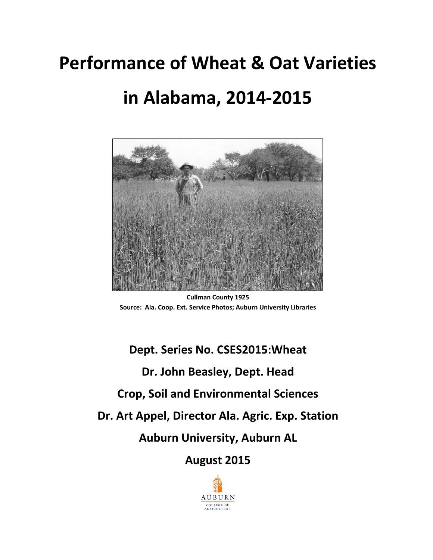# **Performance of Wheat & Oat Varieties in Alabama, 2014‐2015**

**Cullman County 1925 Source: Ala. Coop. Ext. Service Photos; Auburn University Libraries**

# **Dept. Series No. CSES2015:Wheat Dr. John Beasley, Dept. Head Crop, Soil and Environmental Sciences Dr. Art Appel, Director Ala. Agric. Exp. Station Auburn University, Auburn AL August 2015**

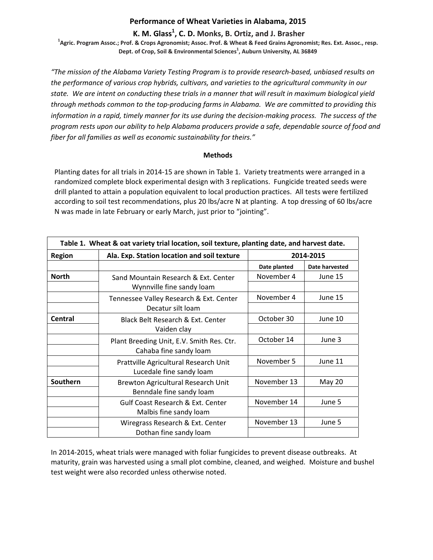# **Performance of Wheat Varieties in Alabama, 2015**

# **K. M. Glass<sup>1</sup> , C. D. Monks, B. Ortiz, and J. Brasher <sup>1</sup>**

<sup>1</sup>Agric. Program Assoc.; Prof. & Crops Agronomist; Assoc. Prof. & Wheat & Feed Grains Agronomist; Res. Ext. Assoc., resp. **Dept. of Crop, Soil & Environmental Sciences1 , Auburn University, AL 36849**

*"The mission of the Alabama Variety Testing Program is to provide research‐based, unbiased results on the performance of various crop hybrids, cultivars, and varieties to the agricultural community in our* state. We are intent on conducting these trials in a manner that will result in maximum biological yield *through methods common to the top‐producing farms in Alabama. We are committed to providing this* information in a rapid, timely manner for its use during the decision-making process. The success of the *program rests upon our ability to help Alabama producers provide a safe, dependable source of food and fiber for all families as well as economic sustainability for theirs."*

# **Methods**

Planting dates for all trials in 2014‐15 are shown in Table 1. Variety treatments were arranged in a randomized complete block experimental design with 3 replications. Fungicide treated seeds were drill planted to attain a population equivalent to local production practices. All tests were fertilized according to soil test recommendations, plus 20 lbs/acre N at planting. A top dressing of 60 lbs/acre N was made in late February or early March, just prior to "jointing".

| Table 1. Wheat & oat variety trial location, soil texture, planting date, and harvest date. |                                                                        |              |                |
|---------------------------------------------------------------------------------------------|------------------------------------------------------------------------|--------------|----------------|
| <b>Region</b>                                                                               | Ala. Exp. Station location and soil texture                            |              | 2014-2015      |
|                                                                                             |                                                                        | Date planted | Date harvested |
| <b>North</b>                                                                                | Sand Mountain Research & Ext. Center<br>Wynnville fine sandy loam      | November 4   | June 15        |
|                                                                                             | Tennessee Valley Research & Ext. Center<br>Decatur silt loam           | November 4   | June 15        |
| Central                                                                                     | Black Belt Research & Ext. Center<br>Vaiden clay                       | October 30   | June 10        |
|                                                                                             | Plant Breeding Unit, E.V. Smith Res. Ctr.<br>Cahaba fine sandy loam    | October 14   | June 3         |
|                                                                                             | Prattville Agricultural Research Unit<br>Lucedale fine sandy loam      | November 5   | June 11        |
| Southern                                                                                    | Brewton Agricultural Research Unit<br>Benndale fine sandy loam         | November 13  | May 20         |
|                                                                                             | <b>Gulf Coast Research &amp; Ext. Center</b><br>Malbis fine sandy loam | November 14  | June 5         |
|                                                                                             | Wiregrass Research & Ext. Center<br>Dothan fine sandy loam             | November 13  | June 5         |

In 2014‐2015, wheat trials were managed with foliar fungicides to prevent disease outbreaks. At maturity, grain was harvested using a small plot combine, cleaned, and weighed. Moisture and bushel test weight were also recorded unless otherwise noted.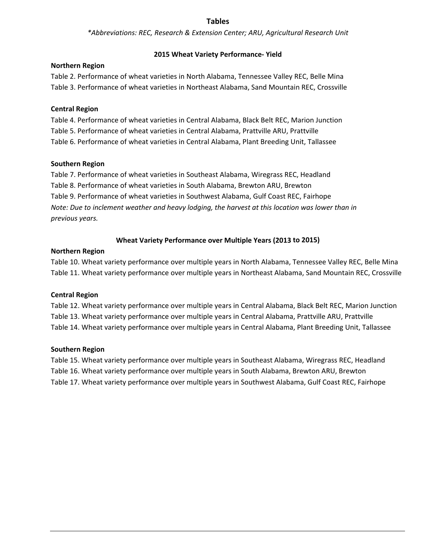# **Tables**

*\*Abbreviations: REC, Research & Extension Center; ARU, Agricultural Research Unit*

# **2015 Wheat Variety Performance‐ Yield**

# **Northern Region**

Table 2. Performance of wheat varieties in North Alabama, Tennessee Valley REC, Belle Mina Table 3. Performance of wheat varieties in Northeast Alabama, Sand Mountain REC, Crossville

# **Central Region**

Table 4. Performance of wheat varieties in Central Alabama, Black Belt REC, Marion Junction Table 5. Performance of wheat varieties in Central Alabama, Prattville ARU, Prattville Table 6. Performance of wheat varieties in Central Alabama, Plant Breeding Unit, Tallassee

# **Southern Region**

Table 7. Performance of wheat varieties in Southeast Alabama, Wiregrass REC, Headland Table 8. Performance of wheat varieties in South Alabama, Brewton ARU, Brewton Table 9. Performance of wheat varieties in Southwest Alabama, Gulf Coast REC, Fairhope *Note: Due to inclement weather and heavy lodging, the harvest at this location was lower than in previous years.*

# **Wheat Variety Performance over Multiple Years (2013 to 2015)**

# **Northern Region**

Table 10. Wheat variety performance over multiple years in North Alabama, Tennessee Valley REC, Belle Mina Table 11. Wheat variety performance over multiple years in Northeast Alabama, Sand Mountain REC, Crossville

# **Central Region**

Table 12. Wheat variety performance over multiple years in Central Alabama, Black Belt REC, Marion Junction Table 13. Wheat variety performance over multiple years in Central Alabama, Prattville ARU, Prattville Table 14. Wheat variety performance over multiple years in Central Alabama, Plant Breeding Unit, Tallassee

# **Southern Region**

Table 15. Wheat variety performance over multiple years in Southeast Alabama, Wiregrass REC, Headland Table 16. Wheat variety performance over multiple years in South Alabama, Brewton ARU, Brewton Table 17. Wheat variety performance over multiple years in Southwest Alabama, Gulf Coast REC, Fairhope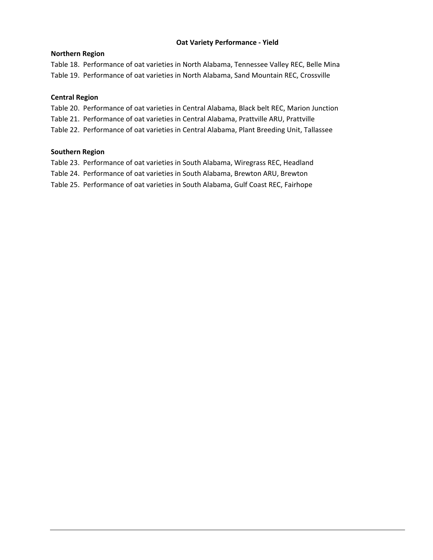# **Oat Variety Performance ‐ Yield**

# **Northern Region**

Table 18. Performance of oat varieties in North Alabama, Tennessee Valley REC, Belle Mina Table 19. Performance of oat varieties in North Alabama, Sand Mountain REC, Crossville

# **Central Region**

Table 20. Performance of oat varieties in Central Alabama, Black belt REC, Marion Junction Table 21. Performance of oat varieties in Central Alabama, Prattville ARU, Prattville Table 22. Performance of oat varieties in Central Alabama, Plant Breeding Unit, Tallassee

# **Southern Region**

Table 23. Performance of oat varieties in South Alabama, Wiregrass REC, Headland

Table 24. Performance of oat varieties in South Alabama, Brewton ARU, Brewton

Table 25. Performance of oat varieties in South Alabama, Gulf Coast REC, Fairhope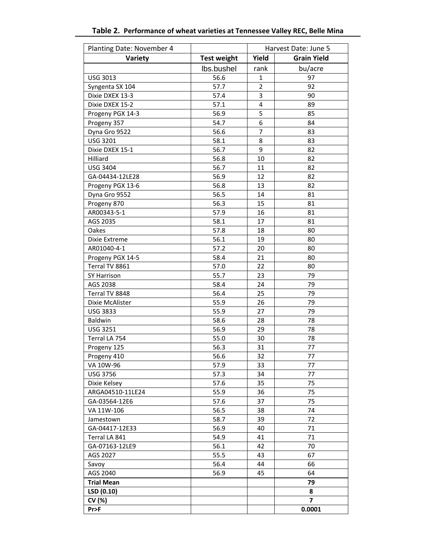| Planting Date: November 4 |                    | Harvest Date: June 5 |                    |
|---------------------------|--------------------|----------------------|--------------------|
| Variety                   | <b>Test weight</b> | Yield                | <b>Grain Yield</b> |
|                           | lbs.bushel         | rank                 | bu/acre            |
| <b>USG 3013</b>           | 56.6               | $\mathbf{1}$         | 97                 |
| Syngenta SX 104           | 57.7               | $\overline{2}$       | 92                 |
| Dixie DXEX 13-3           | 57.4               | 3                    | 90                 |
| Dixie DXEX 15-2           | 57.1               | 4                    | 89                 |
| Progeny PGX 14-3          | 56.9               | 5                    | 85                 |
| Progeny 357               | 54.7               | 6                    | 84                 |
| Dyna Gro 9522             | 56.6               | 7                    | 83                 |
| <b>USG 3201</b>           | 58.1               | 8                    | 83                 |
| Dixie DXEX 15-1           | 56.7               | 9                    | 82                 |
| Hilliard                  | 56.8               | 10                   | 82                 |
| <b>USG 3404</b>           | 56.7               | 11                   | 82                 |
| GA-04434-12LE28           | 56.9               | 12                   | 82                 |
| Progeny PGX 13-6          | 56.8               | 13                   | 82                 |
| Dyna Gro 9552             | 56.5               | 14                   | 81                 |
| Progeny 870               | 56.3               | 15                   | 81                 |
| AR00343-5-1               | 57.9               | 16                   | 81                 |
| AGS 2035                  | 58.1               | 17                   | 81                 |
| Oakes                     | 57.8               | 18                   | 80                 |
| Dixie Extreme             | 56.1               | 19                   | 80                 |
| AR01040-4-1               | 57.2               | 20                   | 80                 |
| Progeny PGX 14-5          | 58.4               | 21                   | 80                 |
| Terral TV 8861            | 57.0               | 22                   | 80                 |
| SY Harrison               | 55.7               | 23                   | 79                 |
| AGS 2038                  | 58.4               | 24                   | 79                 |
| Terral TV 8848            | 56.4               | 25                   | 79                 |
| Dixie McAlister           | 55.9               | 26                   | 79                 |
| <b>USG 3833</b>           | 55.9               | 27                   | 79                 |
| Baldwin                   | 58.6               | 28                   | 78                 |
| <b>USG 3251</b>           | 56.9               | 29                   | 78                 |
| Terral LA 754             | 55.0               | 30                   | 78                 |
| Progeny 125               | 56.3               | 31                   | 77                 |
| Progeny 410               | 56.6               | 32                   | 77                 |
| VA 10W-96                 | 57.9               | 33                   | 77                 |
| <b>USG 3756</b>           | 57.3               | 34                   | 77                 |
| Dixie Kelsey              | 57.6               | 35                   | 75                 |
| ARGA04510-11LE24          | 55.9               | 36                   | 75                 |
| GA-03564-12E6             | 57.6               | 37                   | 75                 |
| VA 11W-106                | 56.5               | 38                   | 74                 |
| Jamestown                 | 58.7               | 39                   | 72                 |
| GA-04417-12E33            | 56.9               | 40                   | 71                 |
| Terral LA 841             | 54.9               | 41                   | 71                 |
| GA-07163-12LE9            | 56.1               | 42                   | 70                 |
| AGS 2027                  | 55.5               | 43                   | 67                 |
| Savoy                     | 56.4               | 44                   | 66                 |
| AGS 2040                  | 56.9               | 45                   | 64                 |
| <b>Trial Mean</b>         |                    |                      | 79                 |
| LSD (0.10)                |                    |                      | 8                  |
| CV (%)                    |                    |                      | $\overline{7}$     |
| Pr>F                      |                    |                      | 0.0001             |

# **Table 2. Performance of wheat varieties at Tennessee Valley REC, Belle Mina**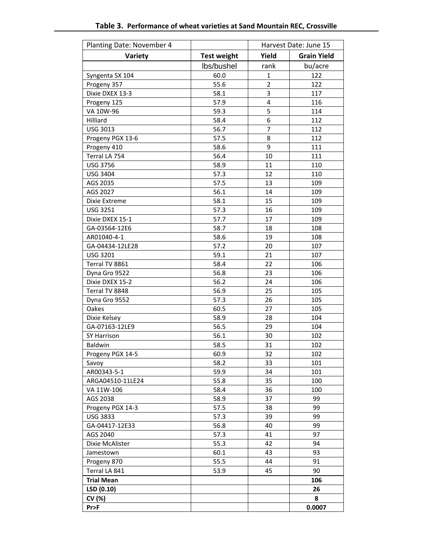| Planting Date: November 4 |                    |                | Harvest Date: June 15 |
|---------------------------|--------------------|----------------|-----------------------|
| Variety                   | <b>Test weight</b> | Yield          | <b>Grain Yield</b>    |
|                           | lbs/bushel         | rank           | bu/acre               |
| Syngenta SX 104           | 60.0               | $\mathbf{1}$   | 122                   |
| Progeny 357               | 55.6               | $\overline{2}$ | 122                   |
| Dixie DXEX 13-3           | 58.1               | 3              | 117                   |
| Progeny 125               | 57.9               | $\overline{4}$ | 116                   |
| VA 10W-96                 | 59.3               | 5              | 114                   |
| Hilliard                  | 58.4               | 6              | 112                   |
| <b>USG 3013</b>           | 56.7               | 7              | 112                   |
| Progeny PGX 13-6          | 57.5               | 8              | 112                   |
| Progeny 410               | 58.6               | 9              | 111                   |
| Terral LA 754             | 56.4               | 10             | 111                   |
| <b>USG 3756</b>           | 58.9               | 11             | 110                   |
| <b>USG 3404</b>           | 57.3               | 12             | 110                   |
| AGS 2035                  | 57.5               | 13             | 109                   |
| AGS 2027                  | 56.1               | 14             | 109                   |
| Dixie Extreme             | 58.1               | 15             | 109                   |
| <b>USG 3251</b>           | 57.3               | 16             | 109                   |
| Dixie DXEX 15-1           | 57.7               | 17             | 109                   |
| GA-03564-12E6             | 58.7               | 18             | 108                   |
| AR01040-4-1               | 58.6               | 19             | 108                   |
| GA-04434-12LE28           | 57.2               | 20             | 107                   |
| <b>USG 3201</b>           | 59.1               | 21             | 107                   |
| Terral TV 8861            | 58.4               | 22             | 106                   |
| Dyna Gro 9522             | 56.8               | 23             | 106                   |
| Dixie DXEX 15-2           | 56.2               | 24             | 106                   |
| Terral TV 8848            | 56.9               | 25             | 105                   |
| Dyna Gro 9552             | 57.3               | 26             | 105                   |
| Oakes                     | 60.5               | 27             | 105                   |
| Dixie Kelsey              | 58.9               | 28             | 104                   |
| GA-07163-12LE9            | 56.5               | 29             | 104                   |
| SY Harrison               | 56.1               | 30             | 102                   |
| Baldwin                   | 58.5               | 31             | 102                   |
| Progeny PGX 14-5          | 60.9               | 32             | 102                   |
| Savoy                     | 58.2               | 33             | 101                   |
| AR00343-5-1               | 59.9               | 34             | 101                   |
| ARGA04510-11LE24          | 55.8               | 35             | 100                   |
| VA 11W-106                | 58.4               | 36             | 100                   |
| AGS 2038                  | 58.9               | 37             | 99                    |
| Progeny PGX 14-3          | 57.5               | 38             | 99                    |
| <b>USG 3833</b>           | 57.3               | 39             | 99                    |
| GA-04417-12E33            | 56.8               | 40             | 99                    |
| AGS 2040                  | 57.3               | 41             | 97                    |
| Dixie McAlister           | 55.3               | 42             | 94                    |
| Jamestown                 | 60.1               | 43             | 93                    |
| Progeny 870               | 55.5               | 44             | 91                    |
| Terral LA 841             | 53.9               | 45             | 90                    |
| <b>Trial Mean</b>         |                    |                | 106                   |
| LSD (0.10)                |                    |                | 26                    |
| CV (%)                    |                    |                | 8                     |
| Pr                        |                    |                | 0.0007                |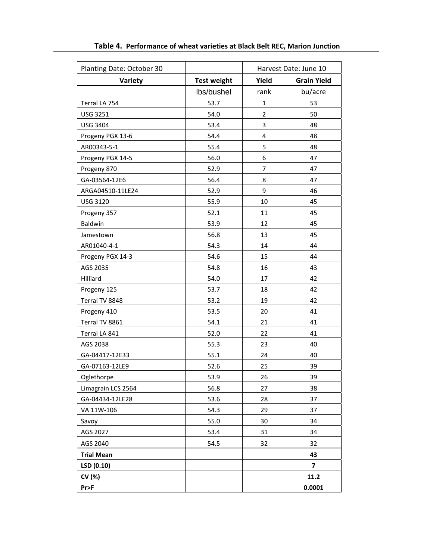| Planting Date: October 30 | Harvest Date: June 10 |                |                    |
|---------------------------|-----------------------|----------------|--------------------|
| Variety                   | <b>Test weight</b>    | Yield          | <b>Grain Yield</b> |
|                           | lbs/bushel            | rank           | bu/acre            |
| Terral LA 754             | 53.7                  | $\mathbf{1}$   | 53                 |
| <b>USG 3251</b>           | 54.0                  | $\overline{2}$ | 50                 |
| <b>USG 3404</b>           | 53.4                  | 3              | 48                 |
| Progeny PGX 13-6          | 54.4                  | 4              | 48                 |
| AR00343-5-1               | 55.4                  | 5              | 48                 |
| Progeny PGX 14-5          | 56.0                  | 6              | 47                 |
| Progeny 870               | 52.9                  | 7              | 47                 |
| GA-03564-12E6             | 56.4                  | 8              | 47                 |
| ARGA04510-11LE24          | 52.9                  | 9              | 46                 |
| <b>USG 3120</b>           | 55.9                  | 10             | 45                 |
| Progeny 357               | 52.1                  | 11             | 45                 |
| Baldwin                   | 53.9                  | 12             | 45                 |
| Jamestown                 | 56.8                  | 13             | 45                 |
| AR01040-4-1               | 54.3                  | 14             | 44                 |
| Progeny PGX 14-3          | 54.6                  | 15             | 44                 |
| AGS 2035                  | 54.8                  | 16             | 43                 |
| Hilliard                  | 54.0                  | 17             | 42                 |
| Progeny 125               | 53.7                  | 18             | 42                 |
| Terral TV 8848            | 53.2                  | 19             | 42                 |
| Progeny 410               | 53.5                  | 20             | 41                 |
| Terral TV 8861            | 54.1                  | 21             | 41                 |
| Terral LA 841             | 52.0                  | 22             | 41                 |
| AGS 2038                  | 55.3                  | 23             | 40                 |
| GA-04417-12E33            | 55.1                  | 24             | 40                 |
| GA-07163-12LE9            | 52.6                  | 25             | 39                 |
| Oglethorpe                | 53.9                  | 26             | 39                 |
| Limagrain LCS 2564        | 56.8                  | 27             | 38                 |
| GA-04434-12LE28           | 53.6                  | 28             | 37                 |
| VA 11W-106                | 54.3                  | 29             | 37                 |
| Savoy                     | 55.0                  | 30             | 34                 |
| AGS 2027                  | 53.4                  | 31             | 34                 |
| AGS 2040                  | 54.5                  | 32             | 32                 |
| <b>Trial Mean</b>         |                       |                | 43                 |
| LSD (0.10)                |                       |                | 7                  |
| CV (%)                    |                       |                | 11.2               |
| Pr>F                      |                       |                | 0.0001             |

**Table 4. Performance of wheat varieties at Black Belt REC, Marion Junction**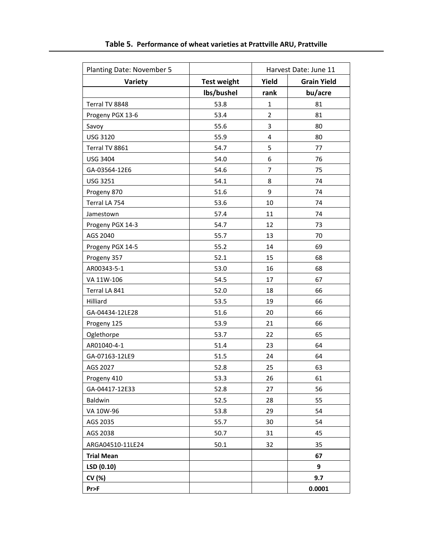| Planting Date: November 5 |                    |                | Harvest Date: June 11 |
|---------------------------|--------------------|----------------|-----------------------|
| Variety                   | <b>Test weight</b> | Yield          | <b>Grain Yield</b>    |
|                           | lbs/bushel         | rank           | bu/acre               |
| Terral TV 8848            | 53.8               | $\mathbf{1}$   | 81                    |
| Progeny PGX 13-6          | 53.4               | $\overline{2}$ | 81                    |
| Savoy                     | 55.6               | 3              | 80                    |
| <b>USG 3120</b>           | 55.9               | 4              | 80                    |
| Terral TV 8861            | 54.7               | 5              | 77                    |
| <b>USG 3404</b>           | 54.0               | 6              | 76                    |
| GA-03564-12E6             | 54.6               | 7              | 75                    |
| <b>USG 3251</b>           | 54.1               | 8              | 74                    |
| Progeny 870               | 51.6               | 9              | 74                    |
| Terral LA 754             | 53.6               | 10             | 74                    |
| Jamestown                 | 57.4               | 11             | 74                    |
| Progeny PGX 14-3          | 54.7               | 12             | 73                    |
| AGS 2040                  | 55.7               | 13             | 70                    |
| Progeny PGX 14-5          | 55.2               | 14             | 69                    |
| Progeny 357               | 52.1               | 15             | 68                    |
| AR00343-5-1               | 53.0               | 16             | 68                    |
| VA 11W-106                | 54.5               | 17             | 67                    |
| Terral LA 841             | 52.0               | 18             | 66                    |
| Hilliard                  | 53.5               | 19             | 66                    |
| GA-04434-12LE28           | 51.6               | 20             | 66                    |
| Progeny 125               | 53.9               | 21             | 66                    |
| Oglethorpe                | 53.7               | 22             | 65                    |
| AR01040-4-1               | 51.4               | 23             | 64                    |
| GA-07163-12LE9            | 51.5               | 24             | 64                    |
| AGS 2027                  | 52.8               | 25             | 63                    |
| Progeny 410               | 53.3               | 26             | 61                    |
| GA-04417-12E33            | 52.8               | 27             | 56                    |
| Baldwin                   | 52.5               | 28             | 55                    |
| VA 10W-96                 | 53.8               | 29             | 54                    |
| AGS 2035                  | 55.7               | 30             | 54                    |
| AGS 2038                  | 50.7               | 31             | 45                    |
| ARGA04510-11LE24          | 50.1               | 32             | 35                    |
| <b>Trial Mean</b>         |                    |                | 67                    |
| LSD (0.10)                |                    |                | 9                     |
| CV (%)                    |                    |                | 9.7                   |
| Pr>F                      |                    |                | 0.0001                |

**Table 5. Performance of wheat varieties at Prattville ARU, Prattville**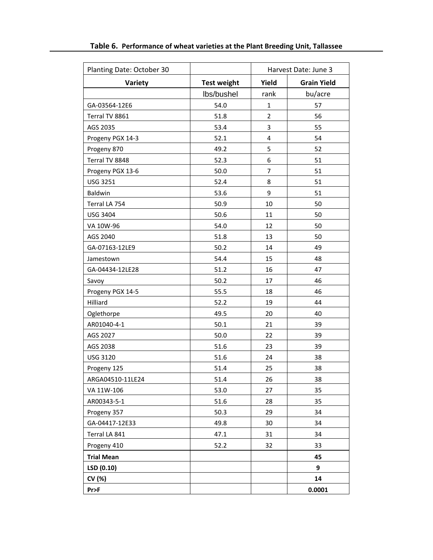| Planting Date: October 30 | Harvest Date: June 3 |                |                    |
|---------------------------|----------------------|----------------|--------------------|
| Variety                   | <b>Test weight</b>   | Yield          | <b>Grain Yield</b> |
|                           | lbs/bushel           | rank           | bu/acre            |
| GA-03564-12E6             | 54.0                 | $\mathbf{1}$   | 57                 |
| Terral TV 8861            | 51.8                 | $\overline{2}$ | 56                 |
| AGS 2035                  | 53.4                 | 3              | 55                 |
| Progeny PGX 14-3          | 52.1                 | 4              | 54                 |
| Progeny 870               | 49.2                 | 5              | 52                 |
| Terral TV 8848            | 52.3                 | 6              | 51                 |
| Progeny PGX 13-6          | 50.0                 | 7              | 51                 |
| <b>USG 3251</b>           | 52.4                 | 8              | 51                 |
| Baldwin                   | 53.6                 | 9              | 51                 |
| Terral LA 754             | 50.9                 | 10             | 50                 |
| <b>USG 3404</b>           | 50.6                 | 11             | 50                 |
| VA 10W-96                 | 54.0                 | 12             | 50                 |
| AGS 2040                  | 51.8                 | 13             | 50                 |
| GA-07163-12LE9            | 50.2                 | 14             | 49                 |
| Jamestown                 | 54.4                 | 15             | 48                 |
| GA-04434-12LE28           | 51.2                 | 16             | 47                 |
| Savoy                     | 50.2                 | 17             | 46                 |
| Progeny PGX 14-5          | 55.5                 | 18             | 46                 |
| Hilliard                  | 52.2                 | 19             | 44                 |
| Oglethorpe                | 49.5                 | 20             | 40                 |
| AR01040-4-1               | 50.1                 | 21             | 39                 |
| AGS 2027                  | 50.0                 | 22             | 39                 |
| AGS 2038                  | 51.6                 | 23             | 39                 |
| <b>USG 3120</b>           | 51.6                 | 24             | 38                 |
| Progeny 125               | 51.4                 | 25             | 38                 |
| ARGA04510-11LE24          | 51.4                 | 26             | 38                 |
| VA 11W-106                | 53.0                 | 27             | 35                 |
| AR00343-5-1               | 51.6                 | 28             | 35                 |
| Progeny 357               | 50.3                 | 29             | 34                 |
| GA-04417-12E33            | 49.8                 | 30             | 34                 |
| Terral LA 841             | 47.1                 | 31             | 34                 |
| Progeny 410               | 52.2                 | 32             | 33                 |
| <b>Trial Mean</b>         |                      |                | 45                 |
| LSD (0.10)                |                      |                | 9                  |
| CV (%)                    |                      |                | 14                 |
| Pr>F                      |                      |                | 0.0001             |

**Table 6. Performance of wheat varieties at the Plant Breeding Unit, Tallassee**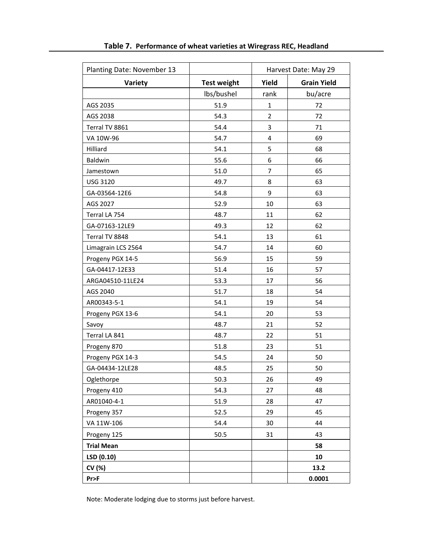| Planting Date: November 13 |                    | Harvest Date: May 29    |                    |
|----------------------------|--------------------|-------------------------|--------------------|
| Variety                    | <b>Test weight</b> | Yield                   | <b>Grain Yield</b> |
|                            | lbs/bushel         | rank                    | bu/acre            |
| AGS 2035                   | 51.9               | $\mathbf{1}$            | 72                 |
| AGS 2038                   | 54.3               | $\overline{2}$          | 72                 |
| Terral TV 8861             | 54.4               | 3                       | 71                 |
| VA 10W-96                  | 54.7               | $\overline{\mathbf{4}}$ | 69                 |
| Hilliard                   | 54.1               | 5                       | 68                 |
| Baldwin                    | 55.6               | 6                       | 66                 |
| Jamestown                  | 51.0               | 7                       | 65                 |
| <b>USG 3120</b>            | 49.7               | 8                       | 63                 |
| GA-03564-12E6              | 54.8               | 9                       | 63                 |
| AGS 2027                   | 52.9               | 10                      | 63                 |
| Terral LA 754              | 48.7               | 11                      | 62                 |
| GA-07163-12LE9             | 49.3               | 12                      | 62                 |
| Terral TV 8848             | 54.1               | 13                      | 61                 |
| Limagrain LCS 2564         | 54.7               | 14                      | 60                 |
| Progeny PGX 14-5           | 56.9               | 15                      | 59                 |
| GA-04417-12E33             | 51.4               | 16                      | 57                 |
| ARGA04510-11LE24           | 53.3               | 17                      | 56                 |
| AGS 2040                   | 51.7               | 18                      | 54                 |
| AR00343-5-1                | 54.1               | 19                      | 54                 |
| Progeny PGX 13-6           | 54.1               | 20                      | 53                 |
| Savoy                      | 48.7               | 21                      | 52                 |
| Terral LA 841              | 48.7               | 22                      | 51                 |
| Progeny 870                | 51.8               | 23                      | 51                 |
| Progeny PGX 14-3           | 54.5               | 24                      | 50                 |
| GA-04434-12LE28            | 48.5               | 25                      | 50                 |
| Oglethorpe                 | 50.3               | 26                      | 49                 |
| Progeny 410                | 54.3               | 27                      | 48                 |
| AR01040-4-1                | 51.9               | 28                      | 47                 |
| Progeny 357                | 52.5               | 29                      | 45                 |
| VA 11W-106                 | 54.4               | 30                      | 44                 |
| Progeny 125                | 50.5               | 31                      | 43                 |
| <b>Trial Mean</b>          |                    |                         | 58                 |
| LSD (0.10)                 |                    |                         | 10                 |
| CV (%)                     |                    |                         | 13.2               |
| $Pr$ $F$                   |                    |                         | 0.0001             |

**Table 7. Performance of wheat varieties at Wiregrass REC, Headland**

Note: Moderate lodging due to storms just before harvest.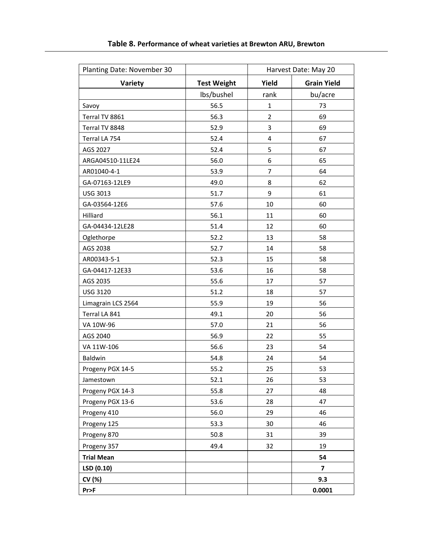| Planting Date: November 30 |                    |                | Harvest Date: May 20 |
|----------------------------|--------------------|----------------|----------------------|
| Variety                    | <b>Test Weight</b> | Yield          | <b>Grain Yield</b>   |
|                            | lbs/bushel         | rank           | bu/acre              |
| Savoy                      | 56.5               | $\mathbf{1}$   | 73                   |
| Terral TV 8861             | 56.3               | $\overline{2}$ | 69                   |
| Terral TV 8848             | 52.9               | 3              | 69                   |
| Terral LA 754              | 52.4               | 4              | 67                   |
| AGS 2027                   | 52.4               | 5              | 67                   |
| ARGA04510-11LE24           | 56.0               | 6              | 65                   |
| AR01040-4-1                | 53.9               | 7              | 64                   |
| GA-07163-12LE9             | 49.0               | 8              | 62                   |
| <b>USG 3013</b>            | 51.7               | 9              | 61                   |
| GA-03564-12E6              | 57.6               | 10             | 60                   |
| Hilliard                   | 56.1               | 11             | 60                   |
| GA-04434-12LE28            | 51.4               | 12             | 60                   |
| Oglethorpe                 | 52.2               | 13             | 58                   |
| AGS 2038                   | 52.7               | 14             | 58                   |
| AR00343-5-1                | 52.3               | 15             | 58                   |
| GA-04417-12E33             | 53.6               | 16             | 58                   |
| AGS 2035                   | 55.6               | 17             | 57                   |
| <b>USG 3120</b>            | 51.2               | 18             | 57                   |
| Limagrain LCS 2564         | 55.9               | 19             | 56                   |
| Terral LA 841              | 49.1               | 20             | 56                   |
| VA 10W-96                  | 57.0               | 21             | 56                   |
| AGS 2040                   | 56.9               | 22             | 55                   |
| VA 11W-106                 | 56.6               | 23             | 54                   |
| Baldwin                    | 54.8               | 24             | 54                   |
| Progeny PGX 14-5           | 55.2               | 25             | 53                   |
| Jamestown                  | 52.1               | 26             | 53                   |
| Progeny PGX 14-3           | 55.8               | 27             | 48                   |
| Progeny PGX 13-6           | 53.6               | 28             | 47                   |
| Progeny 410                | 56.0               | 29             | 46                   |
| Progeny 125                | 53.3               | 30             | 46                   |
| Progeny 870                | 50.8               | 31             | 39                   |
| Progeny 357                | 49.4               | 32             | 19                   |
| <b>Trial Mean</b>          |                    |                | 54                   |
| LSD (0.10)                 |                    |                | 7                    |
| CV (%)                     |                    |                | 9.3                  |
| Pr>F                       |                    |                | 0.0001               |

**Table 8. Performance of wheat varieties at Brewton ARU, Brewton**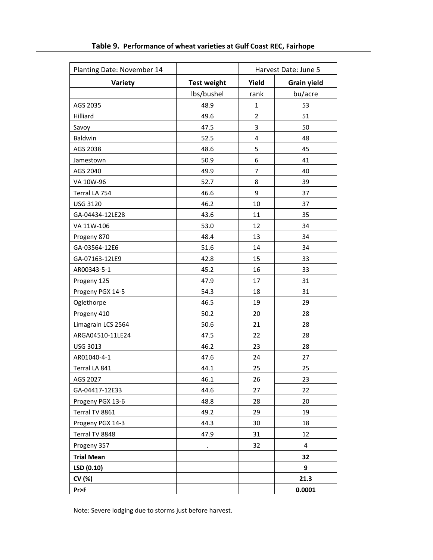| Planting Date: November 14 |                    | Harvest Date: June 5 |                    |
|----------------------------|--------------------|----------------------|--------------------|
| Variety                    | <b>Test weight</b> | Yield                | <b>Grain yield</b> |
|                            | Ibs/bushel         | rank                 | bu/acre            |
| AGS 2035                   | 48.9               | $\mathbf{1}$         | 53                 |
| Hilliard                   | 49.6               | $\overline{2}$       | 51                 |
| Savoy                      | 47.5               | 3                    | 50                 |
| Baldwin                    | 52.5               | 4                    | 48                 |
| AGS 2038                   | 48.6               | 5                    | 45                 |
| Jamestown                  | 50.9               | 6                    | 41                 |
| AGS 2040                   | 49.9               | $\overline{7}$       | 40                 |
| VA 10W-96                  | 52.7               | 8                    | 39                 |
| Terral LA 754              | 46.6               | 9                    | 37                 |
| <b>USG 3120</b>            | 46.2               | 10                   | 37                 |
| GA-04434-12LE28            | 43.6               | 11                   | 35                 |
| VA 11W-106                 | 53.0               | 12                   | 34                 |
| Progeny 870                | 48.4               | 13                   | 34                 |
| GA-03564-12E6              | 51.6               | 14                   | 34                 |
| GA-07163-12LE9             | 42.8               | 15                   | 33                 |
| AR00343-5-1                | 45.2               | 16                   | 33                 |
| Progeny 125                | 47.9               | 17                   | 31                 |
| Progeny PGX 14-5           | 54.3               | 18                   | 31                 |
| Oglethorpe                 | 46.5               | 19                   | 29                 |
| Progeny 410                | 50.2               | 20                   | 28                 |
| Limagrain LCS 2564         | 50.6               | 21                   | 28                 |
| ARGA04510-11LE24           | 47.5               | 22                   | 28                 |
| USG 3013                   | 46.2               | 23                   | 28                 |
| AR01040-4-1                | 47.6               | 24                   | 27                 |
| Terral LA 841              | 44.1               | 25                   | 25                 |
| AGS 2027                   | 46.1               | 26                   | 23                 |
| GA-04417-12E33             | 44.6               | 27                   | 22                 |
| Progeny PGX 13-6           | 48.8               | 28                   | 20                 |
| Terral TV 8861             | 49.2               | 29                   | 19                 |
| Progeny PGX 14-3           | 44.3               | 30                   | 18                 |
| Terral TV 8848             | 47.9               | 31                   | 12                 |
| Progeny 357                |                    | 32                   | 4                  |
| <b>Trial Mean</b>          |                    |                      | 32                 |
| LSD (0.10)                 |                    |                      | 9                  |
| CV (%)                     |                    |                      | 21.3               |
| Pr > F                     |                    |                      | 0.0001             |

**Table 9. Performance of wheat varieties at Gulf Coast REC, Fairhope**

Note: Severe lodging due to storms just before harvest.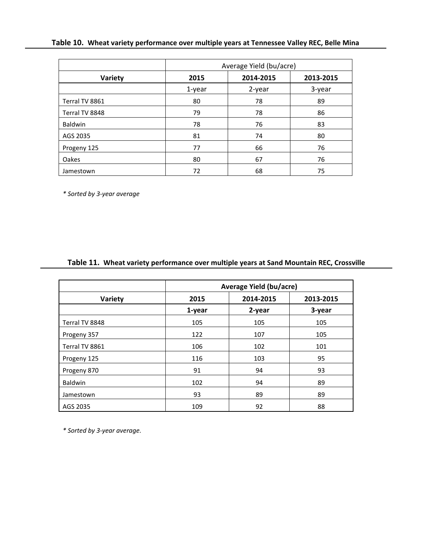# **Table 10. Wheat variety performance over multiple years at Tennessee Valley REC, Belle Mina**

|                | Average Yield (bu/acre) |           |           |
|----------------|-------------------------|-----------|-----------|
| Variety        | 2015                    | 2014-2015 | 2013-2015 |
|                | 1-year                  | 2-year    | 3-year    |
| Terral TV 8861 | 80                      | 78        | 89        |
| Terral TV 8848 | 79                      | 78        | 86        |
| <b>Baldwin</b> | 78                      | 76        | 83        |
| AGS 2035       | 81                      | 74        | 80        |
| Progeny 125    | 77                      | 66        | 76        |
| Oakes          | 80                      | 67        | 76        |
| Jamestown      | 72                      | 68        | 75        |

*\* Sorted by 3‐year average*

# **Table 11. Wheat variety performance over multiple years at Sand Mountain REC, Crossville**

|                | <b>Average Yield (bu/acre)</b> |           |           |
|----------------|--------------------------------|-----------|-----------|
| Variety        | 2015                           | 2014-2015 | 2013-2015 |
|                | 1-year                         | 2-year    | 3-year    |
| Terral TV 8848 | 105                            | 105       | 105       |
| Progeny 357    | 122                            | 107       | 105       |
| Terral TV 8861 | 106                            | 102       | 101       |
| Progeny 125    | 116                            | 103       | 95        |
| Progeny 870    | 91                             | 94        | 93        |
| <b>Baldwin</b> | 102                            | 94        | 89        |
| Jamestown      | 93                             | 89        | 89        |
| AGS 2035       | 109                            | 92        | 88        |

*\* Sorted by 3‐year average.*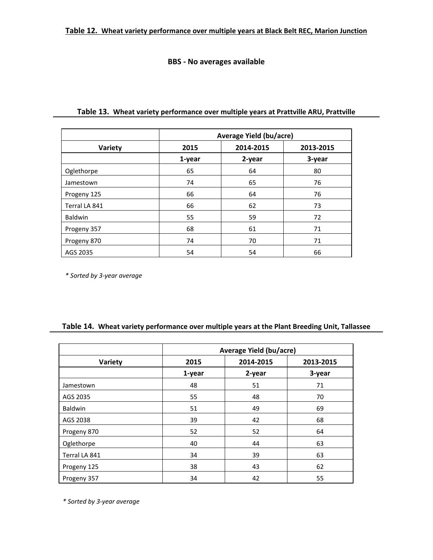# **BBS ‐ No averages available**

|                | <b>Average Yield (bu/acre)</b> |           |           |
|----------------|--------------------------------|-----------|-----------|
| Variety        | 2015                           | 2014-2015 | 2013-2015 |
|                | 1-year                         | 2-year    | 3-year    |
| Oglethorpe     | 65                             | 64        | 80        |
| Jamestown      | 74                             | 65        | 76        |
| Progeny 125    | 66                             | 64        | 76        |
| Terral LA 841  | 66                             | 62        | 73        |
| <b>Baldwin</b> | 55                             | 59        | 72        |
| Progeny 357    | 68                             | 61        | 71        |
| Progeny 870    | 74                             | 70        | 71        |
| AGS 2035       | 54                             | 54        | 66        |

# **Table 13. Wheat variety performance over multiple years at Prattville ARU, Prattville**

*\* Sorted by 3‐year average*

# **Table 14. Wheat variety performance over multiple years at the Plant Breeding Unit, Tallassee**

|                | Average Yield (bu/acre) |           |           |
|----------------|-------------------------|-----------|-----------|
| Variety        | 2015                    | 2014-2015 | 2013-2015 |
|                | 1-year                  | 2-year    | 3-year    |
| Jamestown      | 48                      | 51        | 71        |
| AGS 2035       | 55                      | 48        | 70        |
| <b>Baldwin</b> | 51                      | 49        | 69        |
| AGS 2038       | 39                      | 42        | 68        |
| Progeny 870    | 52                      | 52        | 64        |
| Oglethorpe     | 40                      | 44        | 63        |
| Terral LA 841  | 34                      | 39        | 63        |
| Progeny 125    | 38                      | 43        | 62        |
| Progeny 357    | 34                      | 42        | 55        |

*\* Sorted by 3‐year average*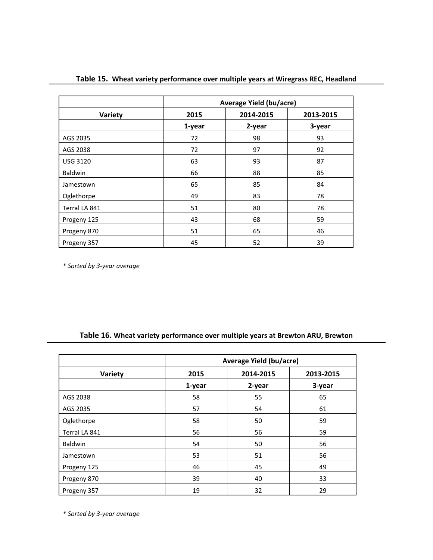|                 | Average Yield (bu/acre) |           |           |  |
|-----------------|-------------------------|-----------|-----------|--|
| Variety         | 2015                    | 2014-2015 | 2013-2015 |  |
|                 | 1-year                  | 2-year    | 3-year    |  |
| AGS 2035        | 72                      | 98        | 93        |  |
| AGS 2038        | 72                      | 97        | 92        |  |
| <b>USG 3120</b> | 63                      | 93        | 87        |  |
| Baldwin         | 66                      | 88        | 85        |  |
| Jamestown       | 65                      | 85        | 84        |  |
| Oglethorpe      | 49                      | 83        | 78        |  |
| Terral LA 841   | 51                      | 80        | 78        |  |
| Progeny 125     | 43                      | 68        | 59        |  |
| Progeny 870     | 51                      | 65        | 46        |  |
| Progeny 357     | 45                      | 52        | 39        |  |

**Table 15. Wheat variety performance over multiple years at Wiregrass REC, Headland**

*\* Sorted by 3‐year average*

# **Table 16. Wheat variety performance over multiple years at Brewton ARU, Brewton**

|                | Average Yield (bu/acre) |           |           |
|----------------|-------------------------|-----------|-----------|
| Variety        | 2015                    | 2014-2015 | 2013-2015 |
|                | 1-year                  | 2-year    | 3-year    |
| AGS 2038       | 58                      | 55        | 65        |
| AGS 2035       | 57                      | 54        | 61        |
| Oglethorpe     | 58                      | 50        | 59        |
| Terral LA 841  | 56                      | 56        | 59        |
| <b>Baldwin</b> | 54                      | 50        | 56        |
| Jamestown      | 53                      | 51        | 56        |
| Progeny 125    | 46                      | 45        | 49        |
| Progeny 870    | 39                      | 40        | 33        |
| Progeny 357    | 19                      | 32        | 29        |

*\* Sorted by 3‐year average*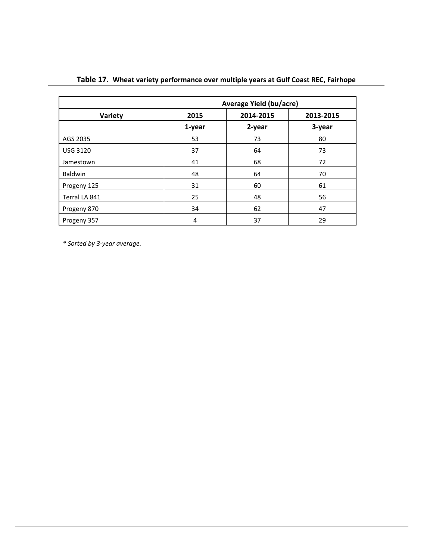|                 | Average Yield (bu/acre) |           |           |  |
|-----------------|-------------------------|-----------|-----------|--|
| Variety         | 2015                    | 2014-2015 | 2013-2015 |  |
|                 | 1-year                  | 2-year    | 3-year    |  |
| AGS 2035        | 53                      | 73        | 80        |  |
| <b>USG 3120</b> | 37                      | 64        | 73        |  |
| Jamestown       | 41                      | 68        | 72        |  |
| <b>Baldwin</b>  | 48                      | 64        | 70        |  |
| Progeny 125     | 31                      | 60        | 61        |  |
| Terral LA 841   | 25                      | 48        | 56        |  |
| Progeny 870     | 34                      | 62        | 47        |  |
| Progeny 357     | 4                       | 37        | 29        |  |

# **Table 17. Wheat variety performance over multiple years at Gulf Coast REC, Fairhope**

*\* Sorted by 3‐year average.*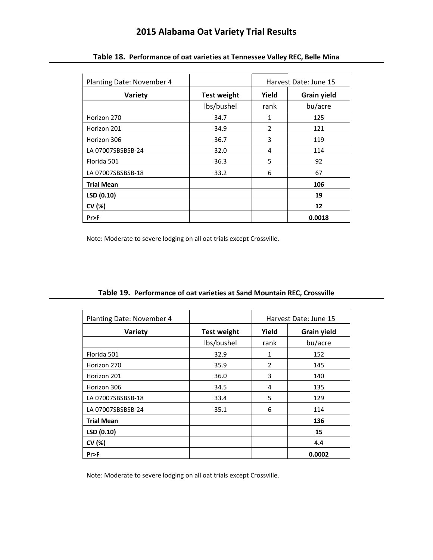# **2015 Alabama Oat Variety Trial Results**

| Planting Date: November 4 |                    | Harvest Date: June 15 |                    |
|---------------------------|--------------------|-----------------------|--------------------|
| Variety                   | <b>Test weight</b> | Yield                 | <b>Grain yield</b> |
|                           | lbs/bushel         | rank                  | bu/acre            |
| Horizon 270               | 34.7               | 1                     | 125                |
| Horizon 201               | 34.9               | $\overline{2}$        | 121                |
| Horizon 306               | 36.7               | 3                     | 119                |
| LA 07007SBSBSB-24         | 32.0               | 4                     | 114                |
| Florida 501               | 36.3               | 5                     | 92                 |
| LA 07007SBSBSB-18         | 33.2               | 6                     | 67                 |
| <b>Trial Mean</b>         |                    |                       | 106                |
| LSD (0.10)                |                    |                       | 19                 |
| CV (%)                    |                    |                       | 12                 |
| Pr                        |                    |                       | 0.0018             |

**Table 18. Performance of oat varieties at Tennessee Valley REC, Belle Mina**

Note: Moderate to severe lodging on all oat trials except Crossville.

| Planting Date: November 4 |                    | Harvest Date: June 15 |                    |
|---------------------------|--------------------|-----------------------|--------------------|
| Variety                   | <b>Test weight</b> | Yield                 | <b>Grain yield</b> |
|                           | lbs/bushel         | rank                  | bu/acre            |
| Florida 501               | 32.9               | 1                     | 152                |
| Horizon 270               | 35.9               | $\overline{2}$        | 145                |
| Horizon 201               | 36.0               | 3                     | 140                |
| Horizon 306               | 34.5               | 4                     | 135                |
| LA 07007SBSBSB-18         | 33.4               | 5                     | 129                |
| LA 07007SBSBSB-24         | 35.1               | 6                     | 114                |
| <b>Trial Mean</b>         |                    |                       | 136                |
| LSD (0.10)                |                    |                       | 15                 |
| CV (%)                    |                    |                       | 4.4                |
| Pr                        |                    |                       | 0.0002             |

**Table 19. Performance of oat varieties at Sand Mountain REC, Crossville**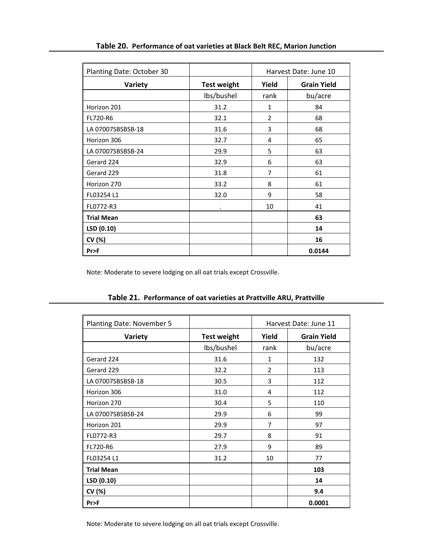| Planting Date: October 30 |                    | Harvest Date: June 10 |                    |
|---------------------------|--------------------|-----------------------|--------------------|
| Variety                   | <b>Test weight</b> | Yield                 | <b>Grain Yield</b> |
|                           | lbs/bushel         | rank                  | bu/acre            |
| Horizon 201               | 31.2               | 1                     | 84                 |
| FL720-R6                  | 32.1               | $\overline{2}$        | 68                 |
| LA 07007SBSBSB-18         | 31.6               | 3                     | 68                 |
| Horizon 306               | 32.7               | 4                     | 65                 |
| LA 07007SBSBSB-24         | 29.9               | 5                     | 63                 |
| Gerard 224                | 32.9               | 6                     | 63                 |
| Gerard 229                | 31.8               | 7                     | 61                 |
| Horizon 270               | 33.2               | 8                     | 61                 |
| FL03254 L1                | 32.0               | 9                     | 58                 |
| FL0772-R3                 | ٠                  | 10                    | 41                 |
| <b>Trial Mean</b>         |                    |                       | 63                 |
| LSD (0.10)                |                    |                       | 14                 |
| CV (%)                    |                    |                       | 16                 |
| Pr>F                      |                    |                       | 0.0144             |

**Table 20. Performance of oat varieties at Black Belt REC, Marion Junction**

Note: Moderate to severe lodging on all oat trials except Crossville.

| Planting Date: November 5 |                    |                | Harvest Date: June 11 |
|---------------------------|--------------------|----------------|-----------------------|
| Variety                   | <b>Test weight</b> | Yield          | <b>Grain Yield</b>    |
|                           | lbs/bushel         | rank           | bu/acre               |
| Gerard 224                | 31.6               | 1              | 132                   |
| Gerard 229                | 32.2               | $\overline{2}$ | 113                   |
| LA 07007SBSBSB-18         | 30.5               | 3              | 112                   |
| Horizon 306               | 31.0               | 4              | 112                   |
| Horizon 270               | 30.4               | 5              | 110                   |
| LA 07007SBSBSB-24         | 29.9               | 6              | 99                    |
| Horizon 201               | 29.9               | 7              | 97                    |
| FL0772-R3                 | 29.7               | 8              | 91                    |
| FL720-R6                  | 27.9               | 9              | 89                    |
| FL03254 L1                | 31.2               | 10             | 77                    |
| <b>Trial Mean</b>         |                    |                | 103                   |
| LSD (0.10)                |                    |                | 14                    |
| CV (%)                    |                    |                | 9.4                   |
| Pr>F                      |                    |                | 0.0001                |

# **Table 21. Performance of oat varieties at Prattville ARU, Prattville**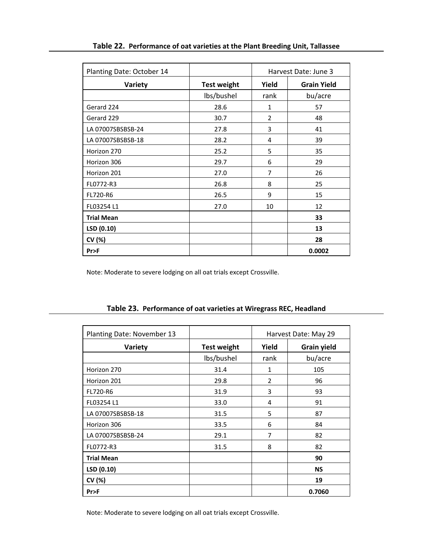| Planting Date: October 14 |                    | Harvest Date: June 3 |                    |
|---------------------------|--------------------|----------------------|--------------------|
| Variety                   | <b>Test weight</b> | Yield                | <b>Grain Yield</b> |
|                           | lbs/bushel         | rank                 | bu/acre            |
| Gerard 224                | 28.6               | $\mathbf{1}$         | 57                 |
| Gerard 229                | 30.7               | $\overline{2}$       | 48                 |
| LA 07007SBSBSB-24         | 27.8               | 3                    | 41                 |
| LA 07007SBSBSB-18         | 28.2               | 4                    | 39                 |
| Horizon 270               | 25.2               | 5                    | 35                 |
| Horizon 306               | 29.7               | 6                    | 29                 |
| Horizon 201               | 27.0               | 7                    | 26                 |
| FL0772-R3                 | 26.8               | 8                    | 25                 |
| FL720-R6                  | 26.5               | 9                    | 15                 |
| FL03254 L1                | 27.0               | 10                   | 12                 |
| <b>Trial Mean</b>         |                    |                      | 33                 |
| LSD(0.10)                 |                    |                      | 13                 |
| CV (%)                    |                    |                      | 28                 |
| Pr                        |                    |                      | 0.0002             |

Note: Moderate to severe lodging on all oat trials except Crossville.

| Planting Date: November 13 |                    | Harvest Date: May 29 |                    |
|----------------------------|--------------------|----------------------|--------------------|
| Variety                    | <b>Test weight</b> | Yield                | <b>Grain yield</b> |
|                            | lbs/bushel         | rank                 | bu/acre            |
| Horizon 270                | 31.4               | 1                    | 105                |
| Horizon 201                | 29.8               | 2                    | 96                 |
| <b>FL720-R6</b>            | 31.9               | 3                    | 93                 |
| FL03254 L1                 | 33.0               | 4                    | 91                 |
| LA 07007SBSBSB-18          | 31.5               | 5                    | 87                 |
| Horizon 306                | 33.5               | 6                    | 84                 |
| LA 07007SBSBSB-24          | 29.1               | 7                    | 82                 |
| FL0772-R3                  | 31.5               | 8                    | 82                 |
| <b>Trial Mean</b>          |                    |                      | 90                 |
| LSD (0.10)                 |                    |                      | <b>NS</b>          |
| CV (%)                     |                    |                      | 19                 |
| Pr                         |                    |                      | 0.7060             |

**Table 23. Performance of oat varieties at Wiregrass REC, Headland**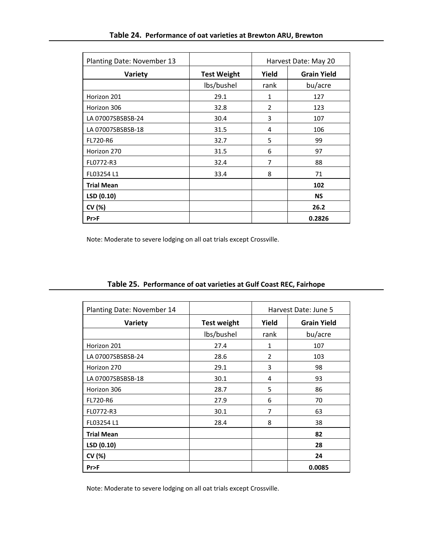| Planting Date: November 13 |                    | Harvest Date: May 20 |                    |
|----------------------------|--------------------|----------------------|--------------------|
| Variety                    | <b>Test Weight</b> | Yield                | <b>Grain Yield</b> |
|                            | lbs/bushel         | rank                 | bu/acre            |
| Horizon 201                | 29.1               | 1                    | 127                |
| Horizon 306                | 32.8               | 2                    | 123                |
| LA 07007SBSBSB-24          | 30.4               | 3                    | 107                |
| LA 07007SBSBSB-18          | 31.5               | 4                    | 106                |
| FL720-R6                   | 32.7               | 5                    | 99                 |
| Horizon 270                | 31.5               | 6                    | 97                 |
| FL0772-R3                  | 32.4               | 7                    | 88                 |
| FL03254 L1                 | 33.4               | 8                    | 71                 |
| <b>Trial Mean</b>          |                    |                      | 102                |
| LSD (0.10)                 |                    |                      | <b>NS</b>          |
| CV (%)                     |                    |                      | 26.2               |
| Pr                         |                    |                      | 0.2826             |

Note: Moderate to severe lodging on all oat trials except Crossville.

| Planting Date: November 14 |                    | Harvest Date: June 5 |                    |
|----------------------------|--------------------|----------------------|--------------------|
| Variety                    | <b>Test weight</b> | Yield                | <b>Grain Yield</b> |
|                            | lbs/bushel         | rank                 | bu/acre            |
| Horizon 201                | 27.4               | 1                    | 107                |
| LA 07007SBSBSB-24          | 28.6               | 2                    | 103                |
| Horizon 270                | 29.1               | 3                    | 98                 |
| LA 07007SBSBSB-18          | 30.1               | 4                    | 93                 |
| Horizon 306                | 28.7               | 5                    | 86                 |
| FL720-R6                   | 27.9               | 6                    | 70                 |
| FL0772-R3                  | 30.1               | 7                    | 63                 |
| FL03254 L1                 | 28.4               | 8                    | 38                 |
| <b>Trial Mean</b>          |                    |                      | 82                 |
| LSD(0.10)                  |                    |                      | 28                 |
| CV (%)                     |                    |                      | 24                 |
| Pr>F                       |                    |                      | 0.0085             |

**Table 25. Performance of oat varieties at Gulf Coast REC, Fairhope**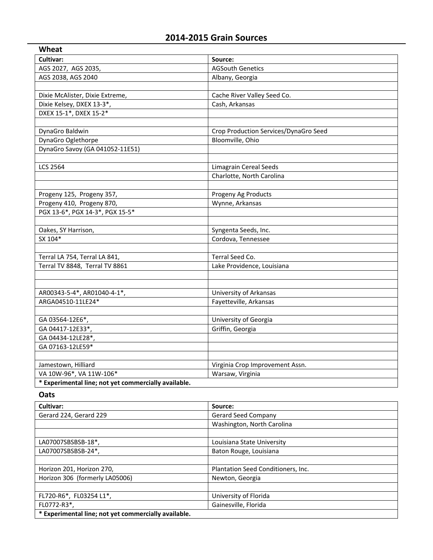# **2014‐2015 Grain Sources**

| Wheat                                                |                                       |
|------------------------------------------------------|---------------------------------------|
| Cultivar:                                            | Source:                               |
| AGS 2027, AGS 2035,                                  | <b>AGSouth Genetics</b>               |
| AGS 2038, AGS 2040                                   | Albany, Georgia                       |
|                                                      |                                       |
| Dixie McAlister, Dixie Extreme,                      | Cache River Valley Seed Co.           |
| Dixie Kelsey, DXEX 13-3*,                            | Cash, Arkansas                        |
| DXEX 15-1*, DXEX 15-2*                               |                                       |
|                                                      |                                       |
| DynaGro Baldwin                                      | Crop Production Services/DynaGro Seed |
| DynaGro Oglethorpe                                   | Bloomville, Ohio                      |
| DynaGro Savoy (GA 041052-11E51)                      |                                       |
|                                                      |                                       |
| <b>LCS 2564</b>                                      | Limagrain Cereal Seeds                |
|                                                      | Charlotte, North Carolina             |
|                                                      |                                       |
| Progeny 125, Progeny 357,                            | Progeny Ag Products                   |
| Progeny 410, Progeny 870,                            | Wynne, Arkansas                       |
| PGX 13-6*, PGX 14-3*, PGX 15-5*                      |                                       |
|                                                      |                                       |
| Oakes, SY Harrison,                                  | Syngenta Seeds, Inc.                  |
| SX 104*                                              | Cordova, Tennessee                    |
|                                                      |                                       |
| Terral LA 754, Terral LA 841,                        | Terral Seed Co.                       |
| Terral TV 8848, Terral TV 8861                       | Lake Providence, Louisiana            |
|                                                      |                                       |
|                                                      |                                       |
| AR00343-5-4*, AR01040-4-1*,                          | University of Arkansas                |
| ARGA04510-11LE24*                                    | Fayetteville, Arkansas                |
|                                                      |                                       |
| GA 03564-12E6*,                                      | University of Georgia                 |
| GA 04417-12E33*,                                     | Griffin, Georgia                      |
| GA 04434-12LE28*,                                    |                                       |
| GA 07163-12LE59*                                     |                                       |
|                                                      |                                       |
| Jamestown, Hilliard                                  | Virginia Crop Improvement Assn.       |
| VA 10W-96*, VA 11W-106*                              | Warsaw, Virginia                      |
| * Experimental line; not yet commercially available. |                                       |

# **Oats**

| Cultivar:                                            | Source:                            |
|------------------------------------------------------|------------------------------------|
| Gerard 224, Gerard 229                               | <b>Gerard Seed Company</b>         |
|                                                      | Washington, North Carolina         |
|                                                      |                                    |
| LA07007SBSBSB-18*,                                   | Louisiana State University         |
| LA07007SBSBSB-24*,                                   | Baton Rouge, Louisiana             |
|                                                      |                                    |
| Horizon 201, Horizon 270,                            | Plantation Seed Conditioners, Inc. |
| Horizon 306 (formerly LA05006)                       | Newton, Georgia                    |
|                                                      |                                    |
| FL720-R6*, FL03254 L1*,                              | University of Florida              |
| FL0772-R3*,                                          | Gainesville, Florida               |
| * Experimental line; not yet commercially available. |                                    |